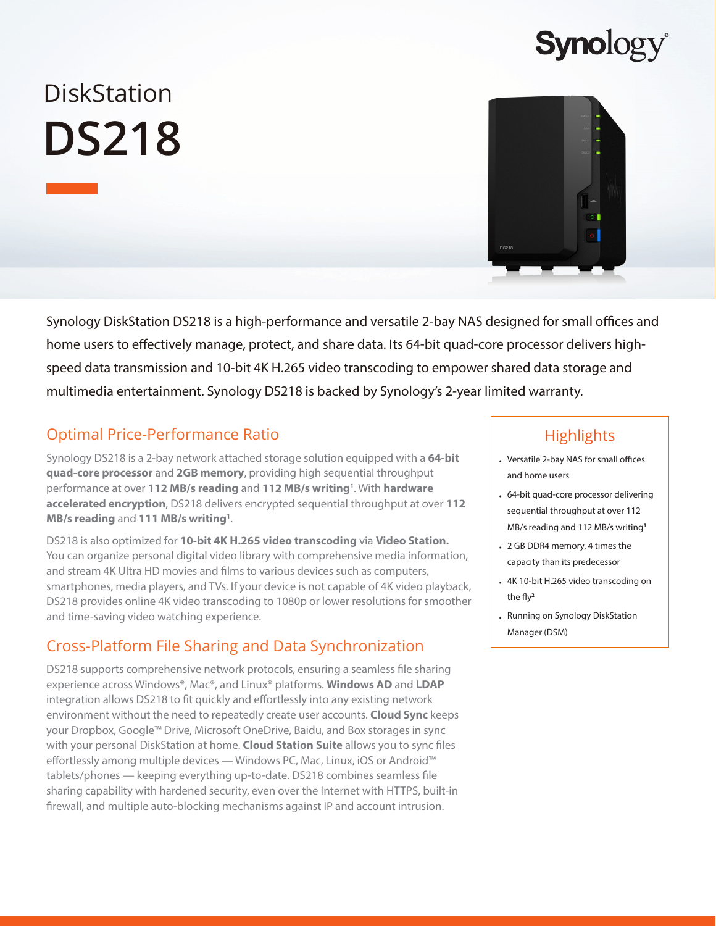# **DiskStation DS218**



**Synolog** 

Synology DiskStation DS218 is a high-performance and versatile 2-bay NAS designed for small offices and home users to effectively manage, protect, and share data. Its 64-bit quad-core processor delivers highspeed data transmission and 10-bit 4K H.265 video transcoding to empower shared data storage and multimedia entertainment. Synology DS218 is backed by Synology's 2-year limited warranty.

# Optimal Price-Performance Ratio

Synology DS218 is a 2-bay network attached storage solution equipped with a **64-bit quad-core processor** and **2GB memory**, providing high sequential throughput performance at over 112 MB/s reading and 112 MB/s writing<sup>1</sup>. With hardware **accelerated encryption**, DS218 delivers encrypted sequential throughput at over **112**  MB/s reading and 111 MB/s writing<sup>1</sup>.

DS218 is also optimized for **10-bit 4K H.265 video transcoding** via **Video Station.**  You can organize personal digital video library with comprehensive media information, and stream 4K Ultra HD movies and films to various devices such as computers, smartphones, media players, and TVs. If your device is not capable of 4K video playback, DS218 provides online 4K video transcoding to 1080p or lower resolutions for smoother and time-saving video watching experience.

# Cross-Platform File Sharing and Data Synchronization

DS218 supports comprehensive network protocols, ensuring a seamless file sharing experience across Windows®, Mac®, and Linux® platforms. **Windows AD** and **LDAP** integration allows DS218 to fit quickly and effortlessly into any existing network environment without the need to repeatedly create user accounts. **Cloud Sync** keeps your Dropbox, Google™ Drive, Microsoft OneDrive, Baidu, and Box storages in sync with your personal DiskStation at home. **Cloud Station Suite** allows you to sync files effortlessly among multiple devices — Windows PC, Mac, Linux, iOS or Android™ tablets/phones — keeping everything up-to-date. DS218 combines seamless file sharing capability with hardened security, even over the Internet with HTTPS, built-in firewall, and multiple auto-blocking mechanisms against IP and account intrusion.

# **Highlights**

- Versatile 2-bay NAS for small offices and home users
- 64-bit quad-core processor delivering sequential throughput at over 112 MB/s reading and 112 MB/s writing**<sup>1</sup>**
- 2 GB DDR4 memory, 4 times the capacity than its predecessor
- 4K 10-bit H.265 video transcoding on the fly**<sup>2</sup>**
- Running on Synology DiskStation Manager (DSM)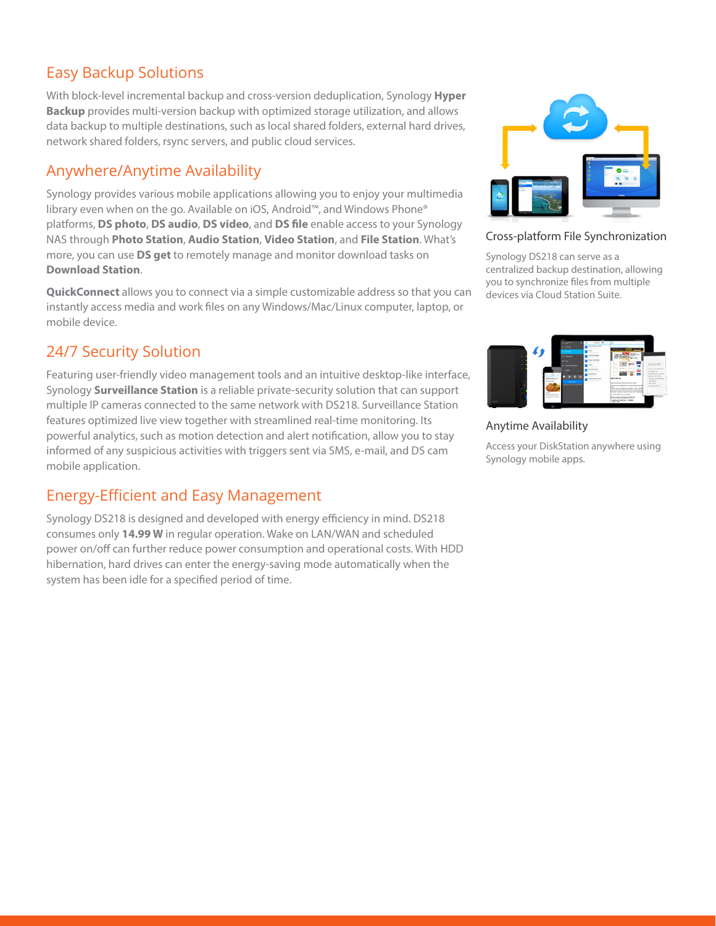# Easy Backup Solutions

With block-level incremental backup and cross-version deduplication, Synology **Hyper Backup** provides multi-version backup with optimized storage utilization, and allows data backup to multiple destinations, such as local shared folders, external hard drives, network shared folders, rsync servers, and public cloud services.

### Anywhere/Anytime Availability

Synology provides various mobile applications allowing you to enjoy your multimedia library even when on the go. Available on iOS, Android™, and Windows Phone® platforms, **DS photo**, **DS audio**, **DS video**, and **DS file** enable access to your Synology NAS through **Photo Station**, **Audio Station**, **Video Station**, and **File Station**. What's more, you can use **DS get** to remotely manage and monitor download tasks on **Download Station**.

**QuickConnect** allows you to connect via a simple customizable address so that you can instantly access media and work files on any Windows/Mac/Linux computer, laptop, or mobile device.

### 24/7 Security Solution

Featuring user-friendly video management tools and an intuitive desktop-like interface, Synology **Surveillance Station** is a reliable private-security solution that can support multiple IP cameras connected to the same network with DS218. Surveillance Station features optimized live view together with streamlined real-time monitoring. Its powerful analytics, such as motion detection and alert notification, allow you to stay informed of any suspicious activities with triggers sent via SMS, e-mail, and DS cam mobile application.

# Energy-Efficient and Easy Management

Synology DS218 is designed and developed with energy efficiency in mind. DS218 consumes only **14.99 W** in regular operation. Wake on LAN/WAN and scheduled power on/off can further reduce power consumption and operational costs. With HDD hibernation, hard drives can enter the energy-saving mode automatically when the system has been idle for a specified period of time.



### Cross-platform File Synchronization

Synology DS218 can serve as a centralized backup destination, allowing you to synchronize files from multiple devices via Cloud Station Suite.



### Anytime Availability

Access your DiskStation anywhere using Synology mobile apps.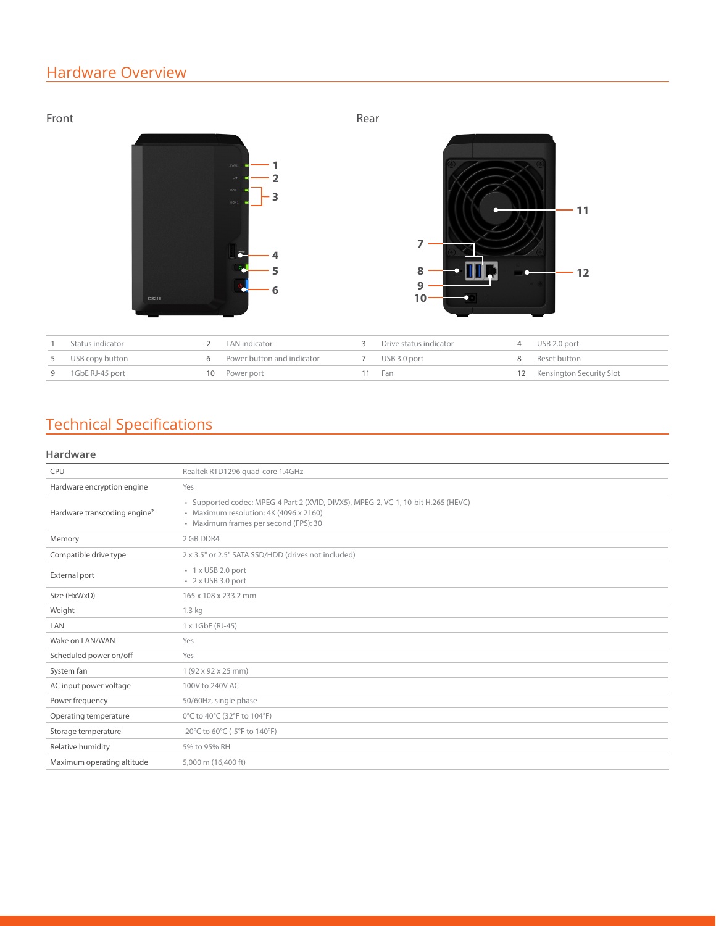# Hardware Overview



|   | Status indicator | LAN indicator              | Drive status indicator | USB 2.0 port                |
|---|------------------|----------------------------|------------------------|-----------------------------|
| 5 | USB copy button  | Power button and indicator | USB 3.0 port           | 8 Reset button              |
| 9 | 1GbE RJ-45 port  | 10 Power port              | Fan                    | 12 Kensington Security Slot |

# Technical Specifications

### **Hardware**

| Realtek RTD1296 quad-core 1.4GHz                                                                                                                                     |
|----------------------------------------------------------------------------------------------------------------------------------------------------------------------|
| Yes                                                                                                                                                                  |
| · Supported codec: MPEG-4 Part 2 (XVID, DIVX5), MPEG-2, VC-1, 10-bit H.265 (HEVC)<br>· Maximum resolution: 4K (4096 x 2160)<br>· Maximum frames per second (FPS): 30 |
| 2 GB DDR4                                                                                                                                                            |
| 2 x 3.5" or 2.5" SATA SSD/HDD (drives not included)                                                                                                                  |
| · 1 x USB 2.0 port<br>$\cdot$ 2 x USB 3.0 port                                                                                                                       |
| 165 x 108 x 233.2 mm                                                                                                                                                 |
| 1.3 <sub>kg</sub>                                                                                                                                                    |
| 1 x 1GbE (RJ-45)                                                                                                                                                     |
| Yes                                                                                                                                                                  |
| Yes                                                                                                                                                                  |
| $1(92 \times 92 \times 25$ mm)                                                                                                                                       |
| 100V to 240V AC                                                                                                                                                      |
| 50/60Hz, single phase                                                                                                                                                |
| 0°C to 40°C (32°F to 104°F)                                                                                                                                          |
| -20°C to 60°C (-5°F to 140°F)                                                                                                                                        |
| 5% to 95% RH                                                                                                                                                         |
| 5,000 m (16,400 ft)                                                                                                                                                  |
|                                                                                                                                                                      |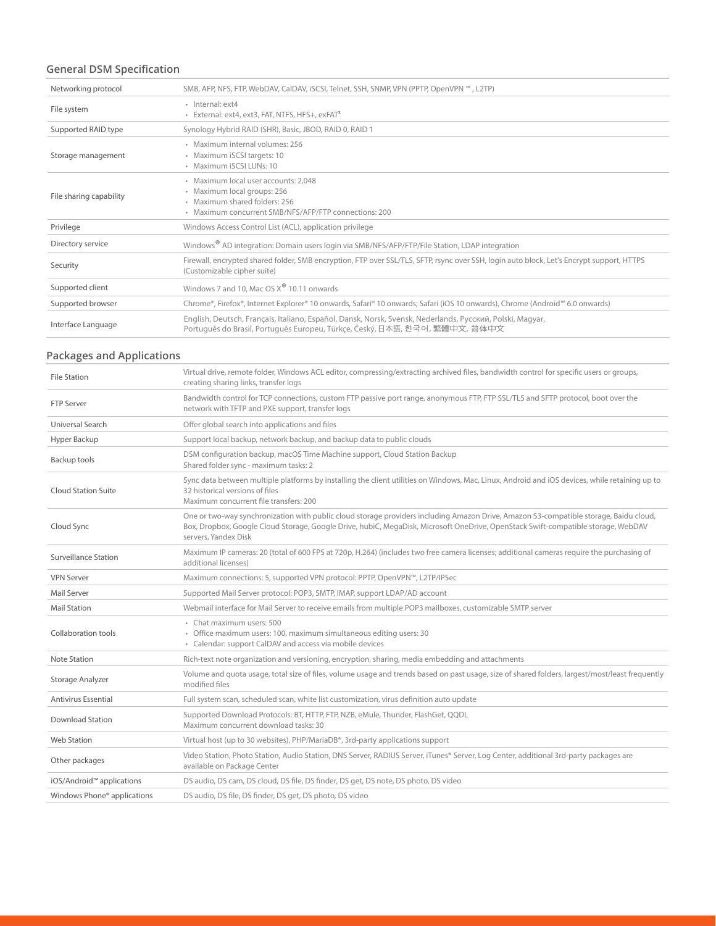### **General DSM Specification**

| Networking protocol     | SMB, AFP, NFS, FTP, WebDAV, CalDAV, iSCSI, Telnet, SSH, SNMP, VPN (PPTP, OpenVPN ™, L2TP)                                                                                                |
|-------------------------|------------------------------------------------------------------------------------------------------------------------------------------------------------------------------------------|
| File system             | · Internal: ext4<br>· External: ext4, ext3, FAT, NTFS, HFS+, exFAT <sup>3</sup>                                                                                                          |
| Supported RAID type     | Synology Hybrid RAID (SHR), Basic, JBOD, RAID 0, RAID 1                                                                                                                                  |
| Storage management      | · Maximum internal volumes: 256<br>• Maximum iSCSI targets: 10<br>· Maximum iSCSI LUNs: 10                                                                                               |
| File sharing capability | · Maximum local user accounts: 2.048<br>· Maximum local groups: 256<br>· Maximum shared folders: 256<br>· Maximum concurrent SMB/NFS/AFP/FTP connections: 200                            |
| Privilege               | Windows Access Control List (ACL), application privilege                                                                                                                                 |
| Directory service       | Windows <sup>®</sup> AD integration: Domain users login via SMB/NFS/AFP/FTP/File Station, LDAP integration                                                                               |
| Security                | Firewall, encrypted shared folder, SMB encryption, FTP over SSL/TLS, SFTP, rsync over SSH, login auto block, Let's Encrypt support, HTTPS<br>(Customizable cipher suite)                 |
| Supported client        | Windows 7 and 10. Mac OS X <sup>®</sup> 10.11 onwards                                                                                                                                    |
| Supported browser       | Chrome®, Firefox®, Internet Explorer® 10 onwards, Safari® 10 onwards; Safari (iOS 10 onwards), Chrome (Android™ 6.0 onwards)                                                             |
| Interface Language      | English, Deutsch, Français, Italiano, Español, Dansk, Norsk, Svensk, Nederlands, Русский, Polski, Magyar,<br>Português do Brasil, Português Europeu, Türkçe, Český, 日本語, 한국어, 繁體中文, 简体中文 |

### **Packages and Applications**

| <b>File Station</b>         | Virtual drive, remote folder, Windows ACL editor, compressing/extracting archived files, bandwidth control for specific users or groups,<br>creating sharing links, transfer logs                                                                                                                  |
|-----------------------------|----------------------------------------------------------------------------------------------------------------------------------------------------------------------------------------------------------------------------------------------------------------------------------------------------|
| <b>FTP Server</b>           | Bandwidth control for TCP connections, custom FTP passive port range, anonymous FTP, FTP SSL/TLS and SFTP protocol, boot over the<br>network with TFTP and PXE support, transfer logs                                                                                                              |
| Universal Search            | Offer global search into applications and files                                                                                                                                                                                                                                                    |
| Hyper Backup                | Support local backup, network backup, and backup data to public clouds                                                                                                                                                                                                                             |
| Backup tools                | DSM configuration backup, macOS Time Machine support, Cloud Station Backup<br>Shared folder sync - maximum tasks: 2                                                                                                                                                                                |
| <b>Cloud Station Suite</b>  | Sync data between multiple platforms by installing the client utilities on Windows, Mac, Linux, Android and iOS devices, while retaining up to<br>32 historical versions of files<br>Maximum concurrent file transfers: 200                                                                        |
| Cloud Sync                  | One or two-way synchronization with public cloud storage providers including Amazon Drive, Amazon S3-compatible storage, Baidu cloud,<br>Box, Dropbox, Google Cloud Storage, Google Drive, hubiC, MegaDisk, Microsoft OneDrive, OpenStack Swift-compatible storage, WebDAV<br>servers, Yandex Disk |
| Surveillance Station        | Maximum IP cameras: 20 (total of 600 FPS at 720p, H.264) (includes two free camera licenses; additional cameras require the purchasing of<br>additional licenses)                                                                                                                                  |
| <b>VPN Server</b>           | Maximum connections: 5, supported VPN protocol: PPTP, OpenVPN™, L2TP/IPSec                                                                                                                                                                                                                         |
| Mail Server                 | Supported Mail Server protocol: POP3, SMTP, IMAP, support LDAP/AD account                                                                                                                                                                                                                          |
| <b>Mail Station</b>         | Webmail interface for Mail Server to receive emails from multiple POP3 mailboxes, customizable SMTP server                                                                                                                                                                                         |
| Collaboration tools         | • Chat maximum users: 500<br>• Office maximum users: 100, maximum simultaneous editing users: 30<br>• Calendar: support CalDAV and access via mobile devices                                                                                                                                       |
| Note Station                | Rich-text note organization and versioning, encryption, sharing, media embedding and attachments                                                                                                                                                                                                   |
| Storage Analyzer            | Volume and quota usage, total size of files, volume usage and trends based on past usage, size of shared folders, largest/most/least frequently<br>modified files                                                                                                                                  |
| <b>Antivirus Essential</b>  | Full system scan, scheduled scan, white list customization, virus definition auto update                                                                                                                                                                                                           |
| <b>Download Station</b>     | Supported Download Protocols: BT, HTTP, FTP, NZB, eMule, Thunder, FlashGet, QQDL<br>Maximum concurrent download tasks: 30                                                                                                                                                                          |
| <b>Web Station</b>          | Virtual host (up to 30 websites), PHP/MariaDB®, 3rd-party applications support                                                                                                                                                                                                                     |
| Other packages              | Video Station, Photo Station, Audio Station, DNS Server, RADIUS Server, iTunes® Server, Log Center, additional 3rd-party packages are<br>available on Package Center                                                                                                                               |
| iOS/Android™ applications   | DS audio, DS cam, DS cloud, DS file, DS finder, DS get, DS note, DS photo, DS video                                                                                                                                                                                                                |
| Windows Phone® applications | DS audio, DS file, DS finder, DS get, DS photo, DS video                                                                                                                                                                                                                                           |